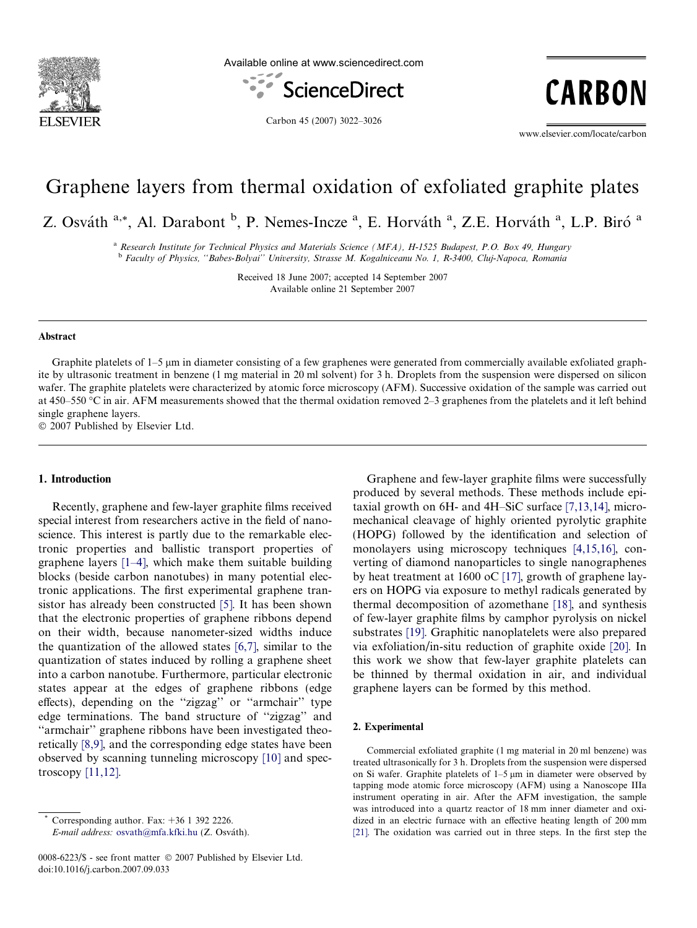

Available online at www.sciencedirect.com



CARBON

Carbon 45 (2007) 3022–3026

www.elsevier.com/locate/carbon

# Graphene layers from thermal oxidation of exfoliated graphite plates

Z. Osváth <sup>a,\*</sup>, Al. Darabont <sup>b</sup>, P. Nemes-Incze <sup>a</sup>, E. Horváth <sup>a</sup>, Z.E. Horváth <sup>a</sup>, L.P. Biró <sup>a</sup>

<sup>a</sup> Research Institute for Technical Physics and Materials Science (MFA), H-1525 Budapest, P.O. Box 49, Hungary <sup>b</sup> Faculty of Physics, ''Babes-Bolyai'' University, Strasse M. Kogalniceanu No. 1, R-3400, Cluj-Napoca, Romania

> Received 18 June 2007; accepted 14 September 2007 Available online 21 September 2007

### Abstract

Graphite platelets of 1–5  $\mu$ m in diameter consisting of a few graphenes were generated from commercially available exfoliated graphite by ultrasonic treatment in benzene (1 mg material in 20 ml solvent) for 3 h. Droplets from the suspension were dispersed on silicon wafer. The graphite platelets were characterized by atomic force microscopy (AFM). Successive oxidation of the sample was carried out at 450–550 °C in air. AFM measurements showed that the thermal oxidation removed 2–3 graphenes from the platelets and it left behind single graphene layers.

2007 Published by Elsevier Ltd.

# 1. Introduction

Recently, graphene and few-layer graphite films received special interest from researchers active in the field of nanoscience. This interest is partly due to the remarkable electronic properties and ballistic transport properties of graphene layers [\[1–4\]](#page-3-0), which make them suitable building blocks (beside carbon nanotubes) in many potential electronic applications. The first experimental graphene transistor has already been constructed [\[5\]](#page-3-0). It has been shown that the electronic properties of graphene ribbons depend on their width, because nanometer-sized widths induce the quantization of the allowed states [\[6,7\],](#page-3-0) similar to the quantization of states induced by rolling a graphene sheet into a carbon nanotube. Furthermore, particular electronic states appear at the edges of graphene ribbons (edge effects), depending on the ''zigzag'' or ''armchair'' type edge terminations. The band structure of ''zigzag'' and "armchair" graphene ribbons have been investigated theoretically [\[8,9\],](#page-3-0) and the corresponding edge states have been observed by scanning tunneling microscopy [\[10\]](#page-3-0) and spectroscopy  $[11,12]$ .

Corresponding author. Fax:  $+36$  1 392 2226. E-mail address: [osvath@mfa.kfki.hu](mailto:osvath@mfa.kfki.hu) (Z. Osváth).

Graphene and few-layer graphite films were successfully produced by several methods. These methods include epitaxial growth on 6H- and 4H–SiC surface [\[7,13,14\]](#page-3-0), micromechanical cleavage of highly oriented pyrolytic graphite (HOPG) followed by the identification and selection of monolayers using microscopy techniques [\[4,15,16\],](#page-3-0) converting of diamond nanoparticles to single nanographenes by heat treatment at 1600 oC [\[17\],](#page-4-0) growth of graphene layers on HOPG via exposure to methyl radicals generated by thermal decomposition of azomethane [\[18\]](#page-4-0), and synthesis of few-layer graphite films by camphor pyrolysis on nickel substrates [\[19\]](#page-4-0). Graphitic nanoplatelets were also prepared via exfoliation/in-situ reduction of graphite oxide [\[20\].](#page-4-0) In this work we show that few-layer graphite platelets can be thinned by thermal oxidation in air, and individual graphene layers can be formed by this method.

#### 2. Experimental

Commercial exfoliated graphite (1 mg material in 20 ml benzene) was treated ultrasonically for 3 h. Droplets from the suspension were dispersed on Si wafer. Graphite platelets of  $1-5 \mu m$  in diameter were observed by tapping mode atomic force microscopy (AFM) using a Nanoscope IIIa instrument operating in air. After the AFM investigation, the sample was introduced into a quartz reactor of 18 mm inner diameter and oxidized in an electric furnace with an effective heating length of 200 mm [\[21\].](#page-4-0) The oxidation was carried out in three steps. In the first step the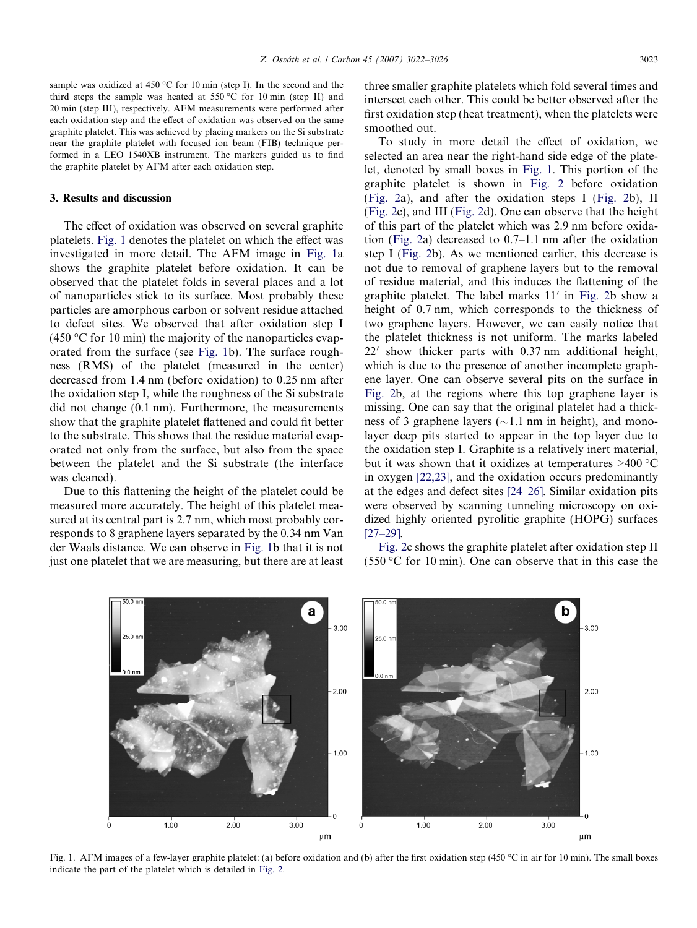sample was oxidized at 450  $^{\circ}$ C for 10 min (step I). In the second and the third steps the sample was heated at  $550\,^{\circ}\text{C}$  for 10 min (step II) and 20 min (step III), respectively. AFM measurements were performed after each oxidation step and the effect of oxidation was observed on the same graphite platelet. This was achieved by placing markers on the Si substrate near the graphite platelet with focused ion beam (FIB) technique performed in a LEO 1540XB instrument. The markers guided us to find the graphite platelet by AFM after each oxidation step.

## 3. Results and discussion

The effect of oxidation was observed on several graphite platelets. Fig. 1 denotes the platelet on which the effect was investigated in more detail. The AFM image in Fig. 1a shows the graphite platelet before oxidation. It can be observed that the platelet folds in several places and a lot of nanoparticles stick to its surface. Most probably these particles are amorphous carbon or solvent residue attached to defect sites. We observed that after oxidation step I  $(450 \degree C$  for 10 min) the majority of the nanoparticles evaporated from the surface (see Fig. 1b). The surface roughness (RMS) of the platelet (measured in the center) decreased from 1.4 nm (before oxidation) to 0.25 nm after the oxidation step I, while the roughness of the Si substrate did not change (0.1 nm). Furthermore, the measurements show that the graphite platelet flattened and could fit better to the substrate. This shows that the residue material evaporated not only from the surface, but also from the space between the platelet and the Si substrate (the interface was cleaned).

Due to this flattening the height of the platelet could be measured more accurately. The height of this platelet measured at its central part is 2.7 nm, which most probably corresponds to 8 graphene layers separated by the 0.34 nm Van der Waals distance. We can observe in Fig. 1b that it is not just one platelet that we are measuring, but there are at least three smaller graphite platelets which fold several times and intersect each other. This could be better observed after the first oxidation step (heat treatment), when the platelets were smoothed out.

To study in more detail the effect of oxidation, we selected an area near the right-hand side edge of the platelet, denoted by small boxes in Fig. 1. This portion of the graphite platelet is shown in [Fig. 2](#page-2-0) before oxidation ([Fig. 2](#page-2-0)a), and after the oxidation steps I [\(Fig. 2b](#page-2-0)), II ([Fig. 2c](#page-2-0)), and III ([Fig. 2](#page-2-0)d). One can observe that the height of this part of the platelet which was 2.9 nm before oxidation ([Fig. 2](#page-2-0)a) decreased to 0.7–1.1 nm after the oxidation step I [\(Fig. 2](#page-2-0)b). As we mentioned earlier, this decrease is not due to removal of graphene layers but to the removal of residue material, and this induces the flattening of the graphite platelet. The label marks  $11'$  in [Fig. 2](#page-2-0)b show a height of 0.7 nm, which corresponds to the thickness of two graphene layers. However, we can easily notice that the platelet thickness is not uniform. The marks labeled  $22'$  show thicker parts with 0.37 nm additional height, which is due to the presence of another incomplete graphene layer. One can observe several pits on the surface in [Fig. 2](#page-2-0)b, at the regions where this top graphene layer is missing. One can say that the original platelet had a thickness of 3 graphene layers ( $\sim$ 1.1 nm in height), and monolayer deep pits started to appear in the top layer due to the oxidation step I. Graphite is a relatively inert material, but it was shown that it oxidizes at temperatures  $>400$  °C in oxygen [\[22,23\]](#page-4-0), and the oxidation occurs predominantly at the edges and defect sites [\[24–26\].](#page-4-0) Similar oxidation pits were observed by scanning tunneling microscopy on oxidized highly oriented pyrolitic graphite (HOPG) surfaces [\[27–29\].](#page-4-0)

[Fig. 2c](#page-2-0) shows the graphite platelet after oxidation step II  $(550 \degree C)$  for 10 min). One can observe that in this case the



Fig. 1. AFM images of a few-layer graphite platelet: (a) before oxidation and (b) after the first oxidation step (450 °C in air for 10 min). The small boxes indicate the part of the platelet which is detailed in [Fig. 2.](#page-2-0)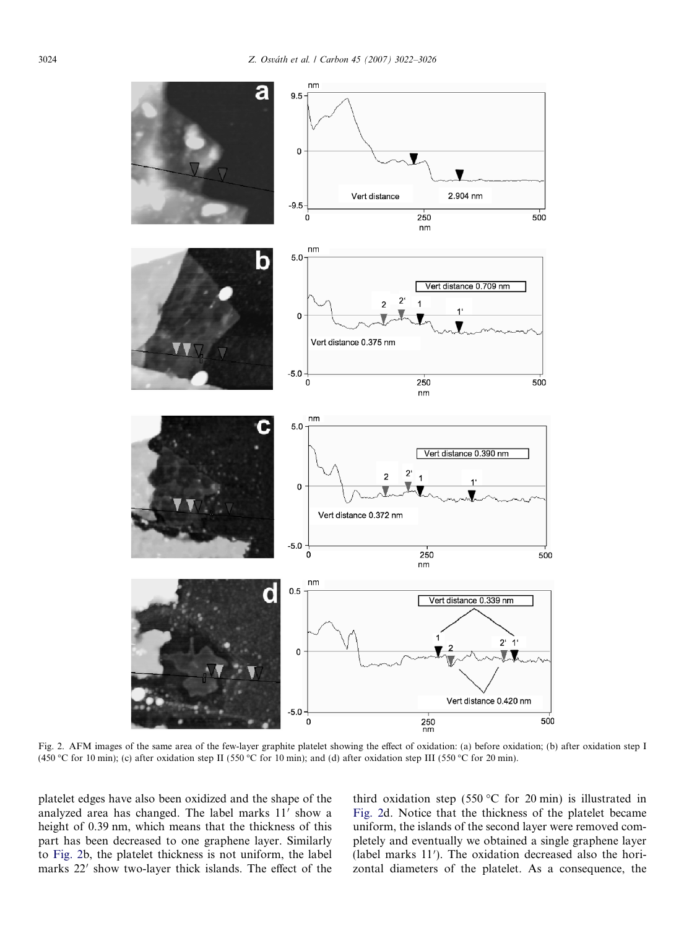<span id="page-2-0"></span>

Fig. 2. AFM images of the same area of the few-layer graphite platelet showing the effect of oxidation: (a) before oxidation; (b) after oxidation step I (450 °C for 10 min); (c) after oxidation step II (550 °C for 10 min); and (d) after oxidation step III (550 °C for 20 min).

platelet edges have also been oxidized and the shape of the analyzed area has changed. The label marks  $11'$  show a height of 0.39 nm, which means that the thickness of this part has been decreased to one graphene layer. Similarly to Fig. 2b, the platelet thickness is not uniform, the label marks 22' show two-layer thick islands. The effect of the

third oxidation step (550 °C for 20 min) is illustrated in Fig. 2d. Notice that the thickness of the platelet became uniform, the islands of the second layer were removed completely and eventually we obtained a single graphene layer (label marks 11'). The oxidation decreased also the horizontal diameters of the platelet. As a consequence, the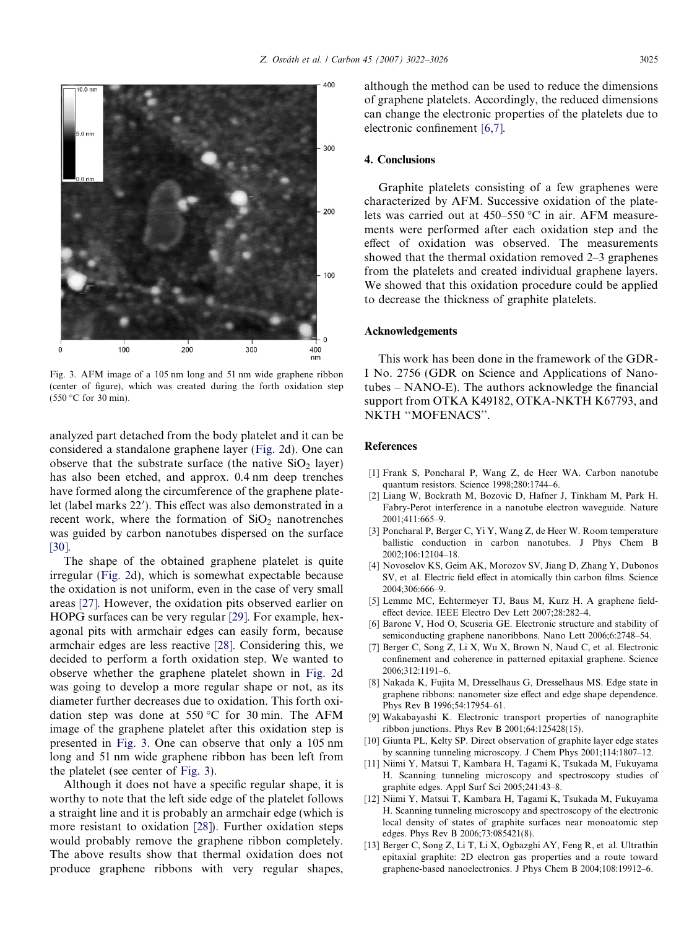<span id="page-3-0"></span>

Fig. 3. AFM image of a 105 nm long and 51 nm wide graphene ribbon (center of figure), which was created during the forth oxidation step  $(550 °C)$  for 30 min).

analyzed part detached from the body platelet and it can be considered a standalone graphene layer [\(Fig. 2](#page-2-0)d). One can observe that the substrate surface (the native  $SiO<sub>2</sub>$  layer) has also been etched, and approx. 0.4 nm deep trenches have formed along the circumference of the graphene platelet (label marks 22'). This effect was also demonstrated in a recent work, where the formation of  $SiO<sub>2</sub>$  nanotrenches was guided by carbon nanotubes dispersed on the surface [\[30\].](#page-4-0)

The shape of the obtained graphene platelet is quite irregular [\(Fig. 2d](#page-2-0)), which is somewhat expectable because the oxidation is not uniform, even in the case of very small areas [\[27\].](#page-4-0) However, the oxidation pits observed earlier on HOPG surfaces can be very regular [\[29\]](#page-4-0). For example, hexagonal pits with armchair edges can easily form, because armchair edges are less reactive [\[28\].](#page-4-0) Considering this, we decided to perform a forth oxidation step. We wanted to observe whether the graphene platelet shown in [Fig. 2](#page-2-0)d was going to develop a more regular shape or not, as its diameter further decreases due to oxidation. This forth oxidation step was done at 550 °C for 30 min. The AFM image of the graphene platelet after this oxidation step is presented in Fig. 3. One can observe that only a 105 nm long and 51 nm wide graphene ribbon has been left from the platelet (see center of Fig. 3).

Although it does not have a specific regular shape, it is worthy to note that the left side edge of the platelet follows a straight line and it is probably an armchair edge (which is more resistant to oxidation [\[28\]\)](#page-4-0). Further oxidation steps would probably remove the graphene ribbon completely. The above results show that thermal oxidation does not produce graphene ribbons with very regular shapes, although the method can be used to reduce the dimensions of graphene platelets. Accordingly, the reduced dimensions can change the electronic properties of the platelets due to electronic confinement [6,7].

#### 4. Conclusions

Graphite platelets consisting of a few graphenes were characterized by AFM. Successive oxidation of the platelets was carried out at  $450-550$  °C in air. AFM measurements were performed after each oxidation step and the effect of oxidation was observed. The measurements showed that the thermal oxidation removed 2–3 graphenes from the platelets and created individual graphene layers. We showed that this oxidation procedure could be applied to decrease the thickness of graphite platelets.

# Acknowledgements

This work has been done in the framework of the GDR-I No. 2756 (GDR on Science and Applications of Nanotubes – NANO-E). The authors acknowledge the financial support from OTKA K49182, OTKA-NKTH K67793, and NKTH ''MOFENACS''.

# References

- [1] Frank S, Poncharal P, Wang Z, de Heer WA. Carbon nanotube quantum resistors. Science 1998;280:1744–6.
- [2] Liang W, Bockrath M, Bozovic D, Hafner J, Tinkham M, Park H. Fabry-Perot interference in a nanotube electron waveguide. Nature 2001;411:665–9.
- [3] Poncharal P, Berger C, Yi Y, Wang Z, de Heer W. Room temperature ballistic conduction in carbon nanotubes. J Phys Chem B 2002;106:12104–18.
- [4] Novoselov KS, Geim AK, Morozov SV, Jiang D, Zhang Y, Dubonos SV, et al. Electric field effect in atomically thin carbon films. Science 2004;306:666–9.
- [5] Lemme MC, Echtermeyer TJ, Baus M, Kurz H. A graphene fieldeffect device. IEEE Electro Dev Lett 2007;28:282–4.
- [6] Barone V, Hod O, Scuseria GE. Electronic structure and stability of semiconducting graphene nanoribbons. Nano Lett 2006;6:2748–54.
- [7] Berger C, Song Z, Li X, Wu X, Brown N, Naud C, et al. Electronic confinement and coherence in patterned epitaxial graphene. Science 2006;312:1191–6.
- [8] Nakada K, Fujita M, Dresselhaus G, Dresselhaus MS. Edge state in graphene ribbons: nanometer size effect and edge shape dependence. Phys Rev B 1996;54:17954–61.
- [9] Wakabayashi K. Electronic transport properties of nanographite ribbon junctions. Phys Rev B 2001;64:125428(15).
- [10] Giunta PL, Kelty SP. Direct observation of graphite layer edge states by scanning tunneling microscopy. J Chem Phys 2001;114:1807–12.
- [11] Niimi Y, Matsui T, Kambara H, Tagami K, Tsukada M, Fukuyama H. Scanning tunneling microscopy and spectroscopy studies of graphite edges. Appl Surf Sci 2005;241:43–8.
- [12] Niimi Y, Matsui T, Kambara H, Tagami K, Tsukada M, Fukuyama H. Scanning tunneling microscopy and spectroscopy of the electronic local density of states of graphite surfaces near monoatomic step edges. Phys Rev B 2006;73:085421(8).
- [13] Berger C, Song Z, Li T, Li X, Ogbazghi AY, Feng R, et al. Ultrathin epitaxial graphite: 2D electron gas properties and a route toward graphene-based nanoelectronics. J Phys Chem B 2004;108:19912–6.